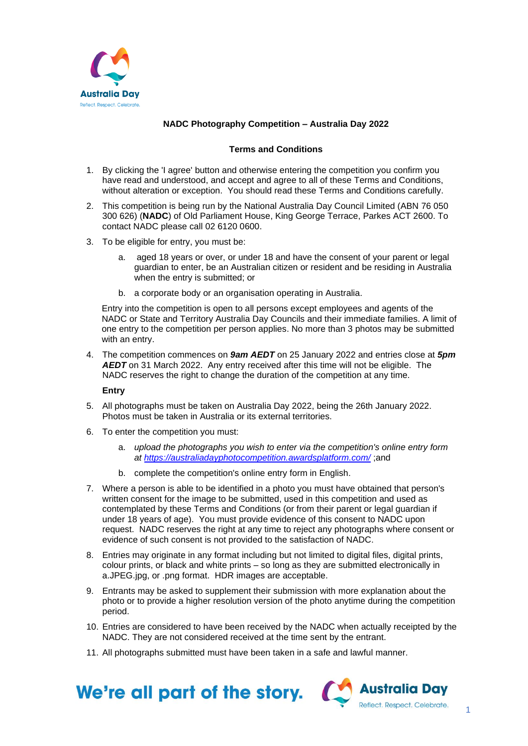

# **NADC Photography Competition – Australia Day 2022**

## **Terms and Conditions**

- 1. By clicking the 'I agree' button and otherwise entering the competition you confirm you have read and understood, and accept and agree to all of these Terms and Conditions, without alteration or exception. You should read these Terms and Conditions carefully.
- 2. This competition is being run by the National Australia Day Council Limited (ABN 76 050 300 626) (**NADC**) of Old Parliament House, King George Terrace, Parkes ACT 2600. To contact NADC please call 02 6120 0600.
- 3. To be eligible for entry, you must be:
	- a. aged 18 years or over, or under 18 and have the consent of your parent or legal guardian to enter, be an Australian citizen or resident and be residing in Australia when the entry is submitted; or
	- b. a corporate body or an organisation operating in Australia.

Entry into the competition is open to all persons except employees and agents of the NADC or State and Territory Australia Day Councils and their immediate families. A limit of one entry to the competition per person applies. No more than 3 photos may be submitted with an entry.

4. The competition commences on *9am AEDT* on 25 January 2022 and entries close at *5pm AEDT* on 31 March 2022. Any entry received after this time will not be eligible. The NADC reserves the right to change the duration of the competition at any time.

**Entry** 

- 5. All photographs must be taken on Australia Day 2022, being the 26th January 2022. Photos must be taken in Australia or its external territories.
- 6. To enter the competition you must:
	- a. *upload the photographs you wish to enter via the competition's online entry form at <https://australiadayphotocompetition.awardsplatform.com/>* ;and
	- b. complete the competition's online entry form in English.
- 7. Where a person is able to be identified in a photo you must have obtained that person's written consent for the image to be submitted, used in this competition and used as contemplated by these Terms and Conditions (or from their parent or legal guardian if under 18 years of age). You must provide evidence of this consent to NADC upon request. NADC reserves the right at any time to reject any photographs where consent or evidence of such consent is not provided to the satisfaction of NADC.
- 8. Entries may originate in any format including but not limited to digital files, digital prints, colour prints, or black and white prints – so long as they are submitted electronically in a.JPEG.jpg, or .png format. HDR images are acceptable.
- 9. Entrants may be asked to supplement their submission with more explanation about the photo or to provide a higher resolution version of the photo anytime during the competition period.
- 10. Entries are considered to have been received by the NADC when actually receipted by the NADC. They are not considered received at the time sent by the entrant.
- 11. All photographs submitted must have been taken in a safe and lawful manner.

We're all part of the story.

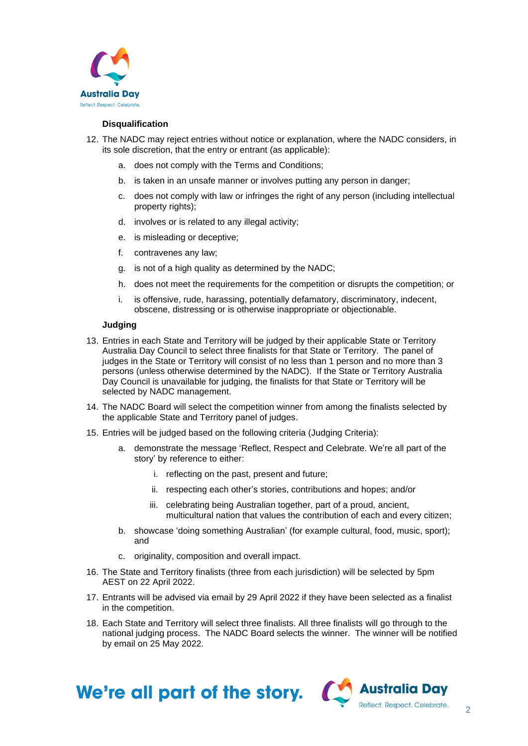

## **Disqualification**

- 12. The NADC may reject entries without notice or explanation, where the NADC considers, in its sole discretion, that the entry or entrant (as applicable):
	- a. does not comply with the Terms and Conditions;
	- b. is taken in an unsafe manner or involves putting any person in danger;
	- c. does not comply with law or infringes the right of any person (including intellectual property rights);
	- d. involves or is related to any illegal activity;
	- e. is misleading or deceptive;
	- f. contravenes any law;
	- g. is not of a high quality as determined by the NADC;
	- h. does not meet the requirements for the competition or disrupts the competition; or
	- i. is offensive, rude, harassing, potentially defamatory, discriminatory, indecent, obscene, distressing or is otherwise inappropriate or objectionable.

#### **Judging**

- 13. Entries in each State and Territory will be judged by their applicable State or Territory Australia Day Council to select three finalists for that State or Territory. The panel of judges in the State or Territory will consist of no less than 1 person and no more than 3 persons (unless otherwise determined by the NADC). If the State or Territory Australia Day Council is unavailable for judging, the finalists for that State or Territory will be selected by NADC management.
- 14. The NADC Board will select the competition winner from among the finalists selected by the applicable State and Territory panel of judges.
- 15. Entries will be judged based on the following criteria (Judging Criteria):
	- a. demonstrate the message 'Reflect, Respect and Celebrate. We're all part of the story' by reference to either:
		- i. reflecting on the past, present and future;
		- ii. respecting each other's stories, contributions and hopes; and/or
		- iii. celebrating being Australian together, part of a proud, ancient, multicultural nation that values the contribution of each and every citizen;
	- b. showcase 'doing something Australian' (for example cultural, food, music, sport); and
	- c. originality, composition and overall impact.
- 16. The State and Territory finalists (three from each jurisdiction) will be selected by 5pm AEST on 22 April 2022.
- 17. Entrants will be advised via email by 29 April 2022 if they have been selected as a finalist in the competition.
- 18. Each State and Territory will select three finalists. All three finalists will go through to the national judging process. The NADC Board selects the winner. The winner will be notified by email on 25 May 2022.



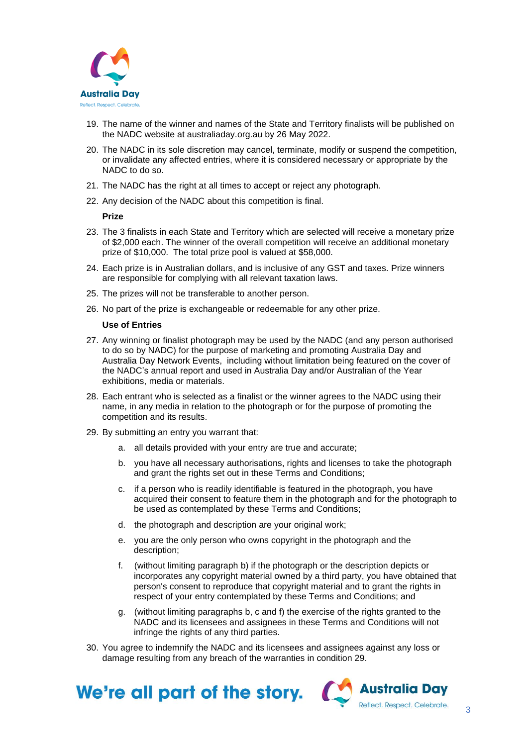

- 19. The name of the winner and names of the State and Territory finalists will be published on the NADC website at australiaday.org.au by 26 May 2022.
- 20. The NADC in its sole discretion may cancel, terminate, modify or suspend the competition, or invalidate any affected entries, where it is considered necessary or appropriate by the NADC to do so.
- 21. The NADC has the right at all times to accept or reject any photograph.
- 22. Any decision of the NADC about this competition is final.

#### **Prize**

- 23. The 3 finalists in each State and Territory which are selected will receive a monetary prize of \$2,000 each. The winner of the overall competition will receive an additional monetary prize of \$10,000. The total prize pool is valued at \$58,000.
- 24. Each prize is in Australian dollars, and is inclusive of any GST and taxes. Prize winners are responsible for complying with all relevant taxation laws.
- 25. The prizes will not be transferable to another person.
- 26. No part of the prize is exchangeable or redeemable for any other prize.

#### **Use of Entries**

- 27. Any winning or finalist photograph may be used by the NADC (and any person authorised to do so by NADC) for the purpose of marketing and promoting Australia Day and Australia Day Network Events, including without limitation being featured on the cover of the NADC's annual report and used in Australia Day and/or Australian of the Year exhibitions, media or materials.
- 28. Each entrant who is selected as a finalist or the winner agrees to the NADC using their name, in any media in relation to the photograph or for the purpose of promoting the competition and its results.
- <span id="page-2-1"></span><span id="page-2-0"></span>29. By submitting an entry you warrant that:
	- a. all details provided with your entry are true and accurate;
	- b. you have all necessary authorisations, rights and licenses to take the photograph and grant the rights set out in these Terms and Conditions;
	- c. if a person who is readily identifiable is featured in the photograph, you have acquired their consent to feature them in the photograph and for the photograph to be used as contemplated by these Terms and Conditions;
	- d. the photograph and description are your original work;
	- e. you are the only person who owns copyright in the photograph and the description;
	- f. (without limiting paragraph [b\)](#page-2-0) if the photograph or the description depicts or incorporates any copyright material owned by a third party, you have obtained that person's consent to reproduce that copyright material and to grant the rights in respect of your entry contemplated by these Terms and Conditions; and
	- g. (without limiting paragraphs [b,](#page-2-0) [c](#page-2-1) and [f\)](#page-2-2) the exercise of the rights granted to the NADC and its licensees and assignees in these Terms and Conditions will not infringe the rights of any third parties.
- <span id="page-2-2"></span>30. You agree to indemnify the NADC and its licensees and assignees against any loss or damage resulting from any breach of the warranties in condition 29.



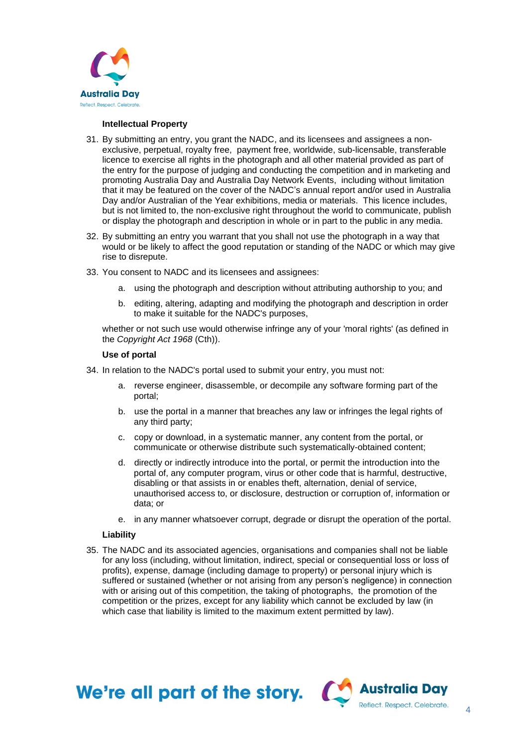

### **Intellectual Property**

- 31. By submitting an entry, you grant the NADC, and its licensees and assignees a nonexclusive, perpetual, royalty free, payment free, worldwide, sub-licensable, transferable licence to exercise all rights in the photograph and all other material provided as part of the entry for the purpose of judging and conducting the competition and in marketing and promoting Australia Day and Australia Day Network Events, including without limitation that it may be featured on the cover of the NADC's annual report and/or used in Australia Day and/or Australian of the Year exhibitions, media or materials. This licence includes, but is not limited to, the non-exclusive right throughout the world to communicate, publish or display the photograph and description in whole or in part to the public in any media.
- 32. By submitting an entry you warrant that you shall not use the photograph in a way that would or be likely to affect the good reputation or standing of the NADC or which may give rise to disrepute.
- 33. You consent to NADC and its licensees and assignees:
	- a. using the photograph and description without attributing authorship to you; and
	- b. editing, altering, adapting and modifying the photograph and description in order to make it suitable for the NADC's purposes,

whether or not such use would otherwise infringe any of your 'moral rights' (as defined in the *Copyright Act 1968* (Cth)).

### **Use of portal**

- 34. In relation to the NADC's portal used to submit your entry, you must not:
	- a. reverse engineer, disassemble, or decompile any software forming part of the portal;
	- b. use the portal in a manner that breaches any law or infringes the legal rights of any third party;
	- c. copy or download, in a systematic manner, any content from the portal, or communicate or otherwise distribute such systematically-obtained content;
	- d. directly or indirectly introduce into the portal, or permit the introduction into the portal of, any computer program, virus or other code that is harmful, destructive, disabling or that assists in or enables theft, alternation, denial of service, unauthorised access to, or disclosure, destruction or corruption of, information or data; or
	- e. in any manner whatsoever corrupt, degrade or disrupt the operation of the portal.

### **Liability**

35. The NADC and its associated agencies, organisations and companies shall not be liable for any loss (including, without limitation, indirect, special or consequential loss or loss of profits), expense, damage (including damage to property) or personal injury which is suffered or sustained (whether or not arising from any person's negligence) in connection with or arising out of this competition, the taking of photographs, the promotion of the competition or the prizes, except for any liability which cannot be excluded by law (in which case that liability is limited to the maximum extent permitted by law).

We're all part of the story.  $\alpha$